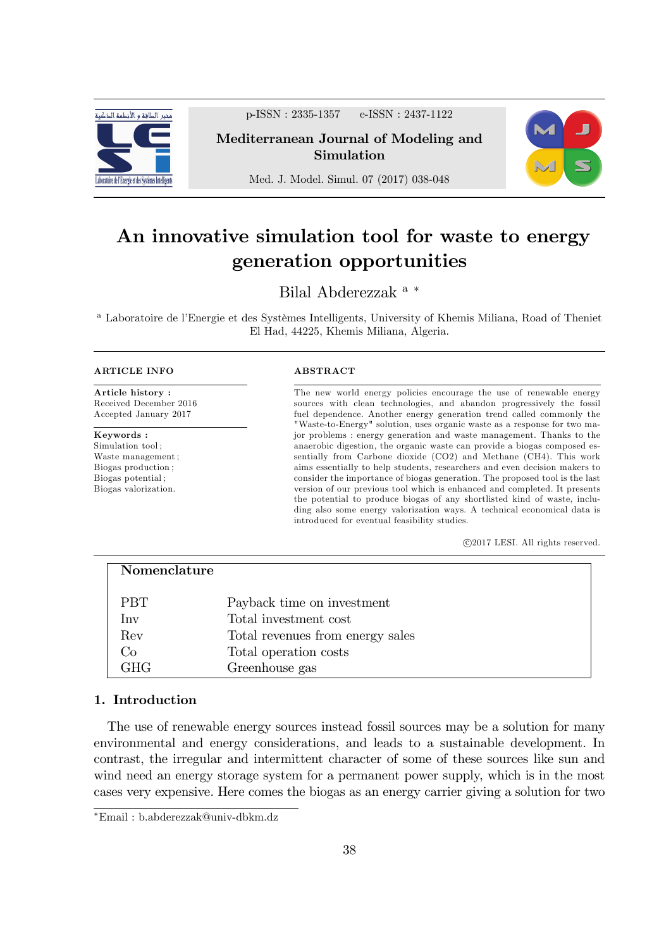

p-ISSN : 2335-1357 e-ISSN : 2437-1122

Mediterranean Journal of Modeling and Simulation



Med. J. Model. Simul. 07 (2017) 038-048

# An innovative simulation tool for waste to energy generation opportunities

Bilal Abderezzak <sup>a</sup>

<sup>a</sup> Laboratoire de l'Energie et des Systèmes Intelligents, University of Khemis Miliana, Road of Theniet El Had, 44225, Khemis Miliana, Algeria.

#### ARTICLE INFO

Article history : Received December 2016 Accepted January 2017

Keywords : Simulation tool ; Waste management ; Biogas production ; Biogas potential ; Biogas valorization.

## ABSTRACT

The new world energy policies encourage the use of renewable energy sources with clean technologies, and abandon progressively the fossil fuel dependence. Another energy generation trend called commonly the "Waste-to-Energy" solution, uses organic waste as a response for two major problems : energy generation and waste management. Thanks to the anaerobic digestion, the organic waste can provide a biogas composed essentially from Carbone dioxide (CO2) and Methane (CH4). This work aims essentially to help students, researchers and even decision makers to consider the importance of biogas generation. The proposed tool is the last version of our previous tool which is enhanced and completed. It presents the potential to produce biogas of any shortlisted kind of waste, including also some energy valorization ways. A technical economical data is introduced for eventual feasibility studies.

c 2017 LESI. All rights reserved.

| Nomenclature |                                  |
|--------------|----------------------------------|
| <b>PBT</b>   | Payback time on investment       |
| Inv          | Total investment cost            |
| Rev          | Total revenues from energy sales |
| Co           | Total operation costs            |
| <b>GHG</b>   | Greenhouse gas                   |

# 1. Introduction

The use of renewable energy sources instead fossil sources may be a solution for many environmental and energy considerations, and leads to a sustainable development. In contrast, the irregular and intermittent character of some of these sources like sun and wind need an energy storage system for a permanent power supply, which is in the most cases very expensive. Here comes the biogas as an energy carrier giving a solution for two

Email : b.abderezzak@univ-dbkm.dz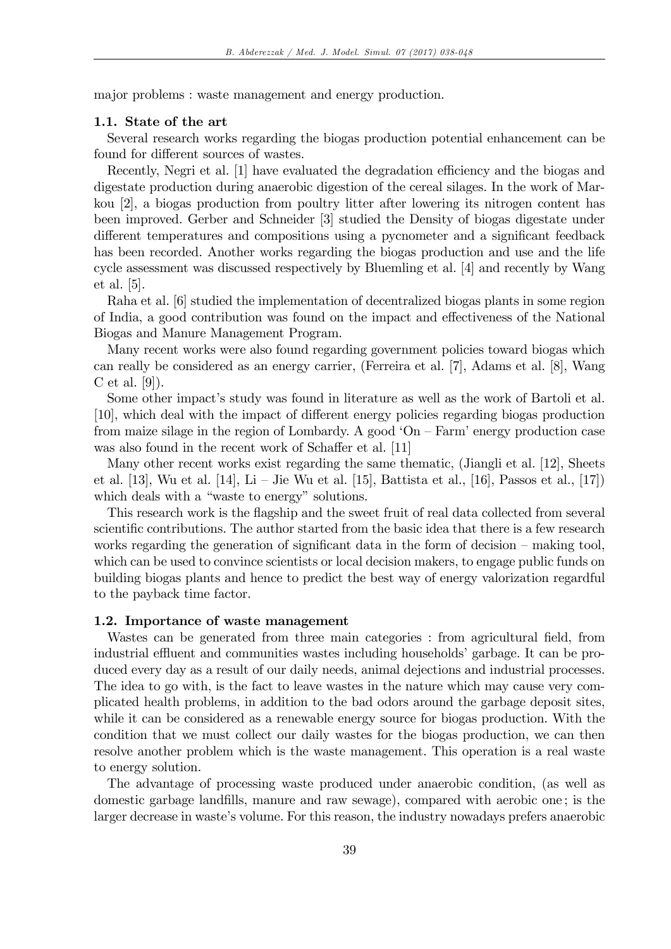major problems : waste management and energy production.

## 1.1. State of the art

Several research works regarding the biogas production potential enhancement can be found for different sources of wastes.

Recently, Negri et al. [1] have evaluated the degradation efficiency and the biogas and digestate production during anaerobic digestion of the cereal silages. In the work of Markou [2], a biogas production from poultry litter after lowering its nitrogen content has been improved. Gerber and Schneider [3] studied the Density of biogas digestate under different temperatures and compositions using a pycnometer and a significant feedback has been recorded. Another works regarding the biogas production and use and the life cycle assessment was discussed respectively by Bluemling et al. [4] and recently by Wang et al. [5].

Raha et al. [6] studied the implementation of decentralized biogas plants in some region of India, a good contribution was found on the impact and effectiveness of the National Biogas and Manure Management Program.

Many recent works were also found regarding government policies toward biogas which can really be considered as an energy carrier, (Ferreira et al. [7], Adams et al. [8], Wang C et al. [9]).

Some other impact's study was found in literature as well as the work of Bartoli et al. [10], which deal with the impact of different energy policies regarding biogas production from maize silage in the region of Lombardy. A good ' $On - Farm$ ' energy production case was also found in the recent work of Schaffer et al. [11]

Many other recent works exist regarding the same thematic, (Jiangli et al. [12], Sheets et al. [13], Wu et al. [14], Li – Jie Wu et al. [15], Battista et al., [16], Passos et al., [17]) which deals with a "waste to energy" solutions.

This research work is the flagship and the sweet fruit of real data collected from several scientific contributions. The author started from the basic idea that there is a few research works regarding the generation of significant data in the form of decision  $-$  making tool, which can be used to convince scientists or local decision makers, to engage public funds on building biogas plants and hence to predict the best way of energy valorization regardful to the payback time factor.

## 1.2. Importance of waste management

Wastes can be generated from three main categories : from agricultural field, from industrial effluent and communities wastes including households' garbage. It can be produced every day as a result of our daily needs, animal dejections and industrial processes. The idea to go with, is the fact to leave wastes in the nature which may cause very complicated health problems, in addition to the bad odors around the garbage deposit sites, while it can be considered as a renewable energy source for biogas production. With the condition that we must collect our daily wastes for the biogas production, we can then resolve another problem which is the waste management. This operation is a real waste to energy solution.

The advantage of processing waste produced under anaerobic condition, (as well as domestic garbage landfills, manure and raw sewage), compared with aerobic one; is the larger decrease in waste's volume. For this reason, the industry nowadays prefers anaerobic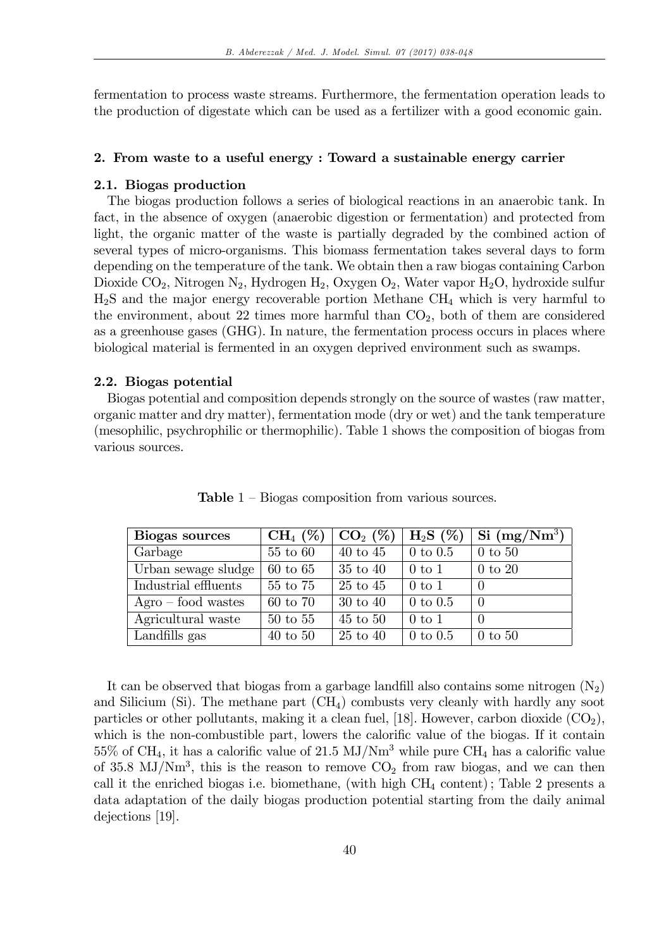fermentation to process waste streams. Furthermore, the fermentation operation leads to the production of digestate which can be used as a fertilizer with a good economic gain.

#### 2. From waste to a useful energy : Toward a sustainable energy carrier

#### 2.1. Biogas production

The biogas production follows a series of biological reactions in an anaerobic tank. In fact, in the absence of oxygen (anaerobic digestion or fermentation) and protected from light, the organic matter of the waste is partially degraded by the combined action of several types of micro-organisms. This biomass fermentation takes several days to form depending on the temperature of the tank. We obtain then a raw biogas containing Carbon Dioxide  $CO_2$ , Nitrogen N<sub>2</sub>, Hydrogen H<sub>2</sub>, Oxygen O<sub>2</sub>, Water vapor H<sub>2</sub>O, hydroxide sulfur  $H_2S$  and the major energy recoverable portion Methane  $CH_4$  which is very harmful to the environment, about 22 times more harmful than  $CO<sub>2</sub>$ , both of them are considered as a greenhouse gases (GHG). In nature, the fermentation process occurs in places where biological material is fermented in an oxygen deprived environment such as swamps.

#### 2.2. Biogas potential

Biogas potential and composition depends strongly on the source of wastes (raw matter, organic matter and dry matter), fermentation mode (dry or wet) and the tank temperature (mesophilic, psychrophilic or thermophilic). Table 1 shows the composition of biogas from various sources.

| Biogas sources       | $CH_4(\%)$   | $CO_{2}$ (%)        | $H_2S(\%)$   | $\mathrm{Si} \; (\mathrm{mg}/\mathrm{Nm^3})$ |
|----------------------|--------------|---------------------|--------------|----------------------------------------------|
| Garbage              | 55 to 60     | $40$ to $45$        | $0$ to $0.5$ | $0$ to $50$                                  |
| Urban sewage sludge  | $60$ to $65$ | $35$ to $40$        | $0$ to $1$   | $0$ to $20$                                  |
| Industrial effluents | 55 to 75     | 25 to 45            | $0$ to $1$   |                                              |
| $Agro - food$ wastes | 60 to 70     | $30 \text{ to } 40$ | $0$ to $0.5$ | $\Omega$                                     |
| Agricultural waste   | $50$ to $55$ | $45$ to $50$        | $0$ to 1     | $\Omega$                                     |
| Landfills gas        | $40$ to $50$ | $25$ to $40$        | $0$ to $0.5$ | $0$ to $50$                                  |

**Table**  $1$  – Biogas composition from various sources.

It can be observed that biogas from a garbage landfill also contains some nitrogen  $(N_2)$ and Silicium (Si). The methane part  $(CH<sub>4</sub>)$  combusts very cleanly with hardly any soot particles or other pollutants, making it a clean fuel, [18]. However, carbon dioxide  $(CO_2)$ , which is the non-combustible part, lowers the calorific value of the biogas. If it contain  $55\%$  of CH<sub>4</sub>, it has a calorific value of 21.5 MJ/Nm<sup>3</sup> while pure CH<sub>4</sub> has a calorific value of 35.8  $MJ/Nm<sup>3</sup>$ , this is the reason to remove  $CO<sub>2</sub>$  from raw biogas, and we can then call it the enriched biogas i.e. biomethane, (with high  $CH_4$  content); Table 2 presents a data adaptation of the daily biogas production potential starting from the daily animal dejections [19].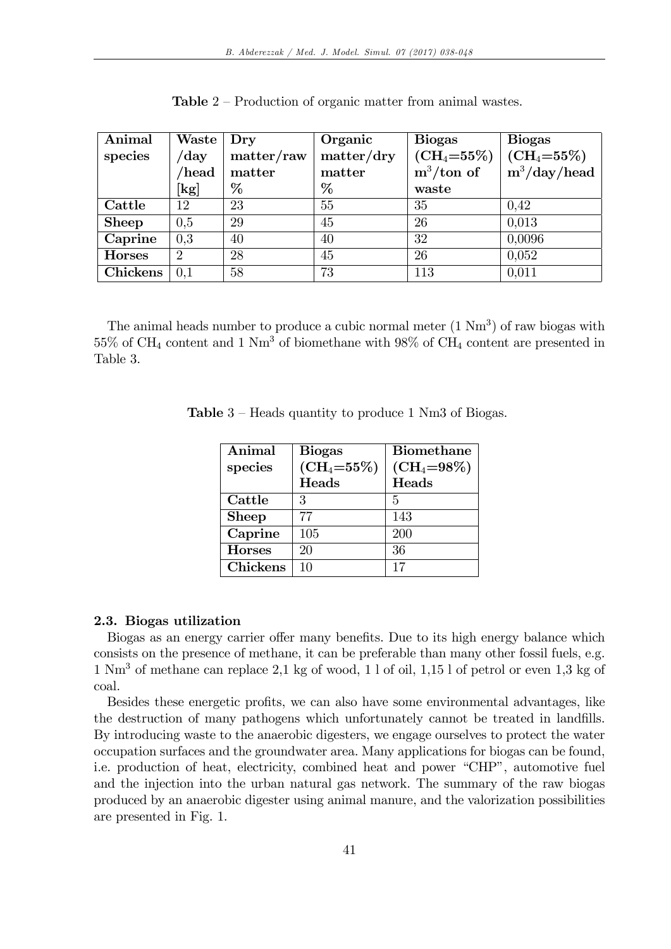| Animal        | Waste   Dry                |            | Organic    | <b>Biogas</b>                  | <b>Biogas</b>     |
|---------------|----------------------------|------------|------------|--------------------------------|-------------------|
| species       | $/\mathrm{day}$            | matter/raw | matter/dry | $\rm (CH_4=55\%)$              | $\rm (CH_4=55\%)$ |
|               | /head                      | matter     | matter     | $\mathrm{m}^3/\mathrm{ton}$ of | $m^3/day/head$    |
|               | $\left[\mathrm{kg}\right]$ | %          | %          | waste                          |                   |
| Cattle        | 12                         | 23         | 55         | 35                             | 0.42              |
| <b>Sheep</b>  | 0.5                        | 29         | 45         | 26                             | 0,013             |
| Caprine       | 0,3                        | 40         | 40         | 32                             | 0,0096            |
| <b>Horses</b> | $\overline{2}$             | 28         | 45         | 26                             | 0,052             |
| Chickens      | 0,1                        | 58         | 73         | 113                            | 0,011             |

**Table**  $2$  – Production of organic matter from animal wastes.

The animal heads number to produce a cubic normal meter  $(1 \text{ Nm}^3)$  of raw biogas with  $55\%$  of CH<sub>4</sub> content and 1 Nm<sup>3</sup> of biomethane with  $98\%$  of CH<sub>4</sub> content are presented in Table 3.

| Animal        | <b>Biogas</b>   | <b>Biomethane</b> |
|---------------|-----------------|-------------------|
| species       | $(CH_4 = 55\%)$ | $\rm (CH_4=98\%)$ |
|               | Heads           | Heads             |
| Cattle        | 3               | 5                 |
| <b>Sheep</b>  | 77              | 143               |
| Caprine       | 105             | 200               |
| <b>Horses</b> | 20              | 36                |
| Chickens      | 10              | 17                |

**Table**  $3$  – Heads quantity to produce 1 Nm3 of Biogas.

## 2.3. Biogas utilization

Biogas as an energy carrier offer many benefits. Due to its high energy balance which consists on the presence of methane, it can be preferable than many other fossil fuels, e.g. 1 Nm<sup>3</sup> of methane can replace 2,1 kg of wood, 1 l of oil, 1,15 l of petrol or even 1,3 kg of coal.

Besides these energetic profits, we can also have some environmental advantages, like the destruction of many pathogens which unfortunately cannot be treated in landfills. By introducing waste to the anaerobic digesters, we engage ourselves to protect the water occupation surfaces and the groundwater area. Many applications for biogas can be found, i.e. production of heat, electricity, combined heat and power "CHP", automotive fuel and the injection into the urban natural gas network. The summary of the raw biogas produced by an anaerobic digester using animal manure, and the valorization possibilities are presented in Fig. 1.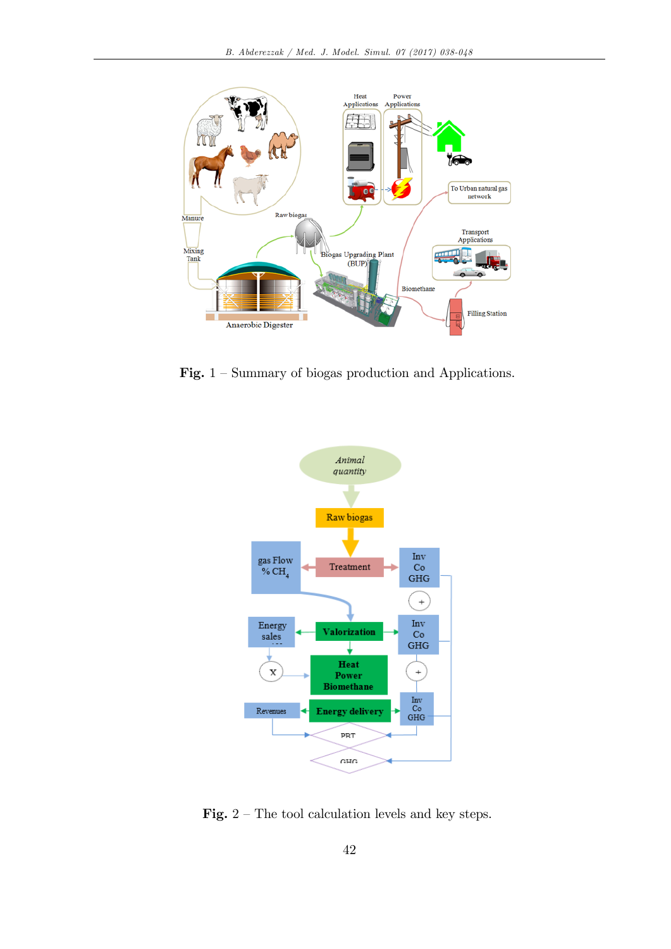

Fig.  $1 -$  Summary of biogas production and Applications.



Fig.  $2$  – The tool calculation levels and key steps.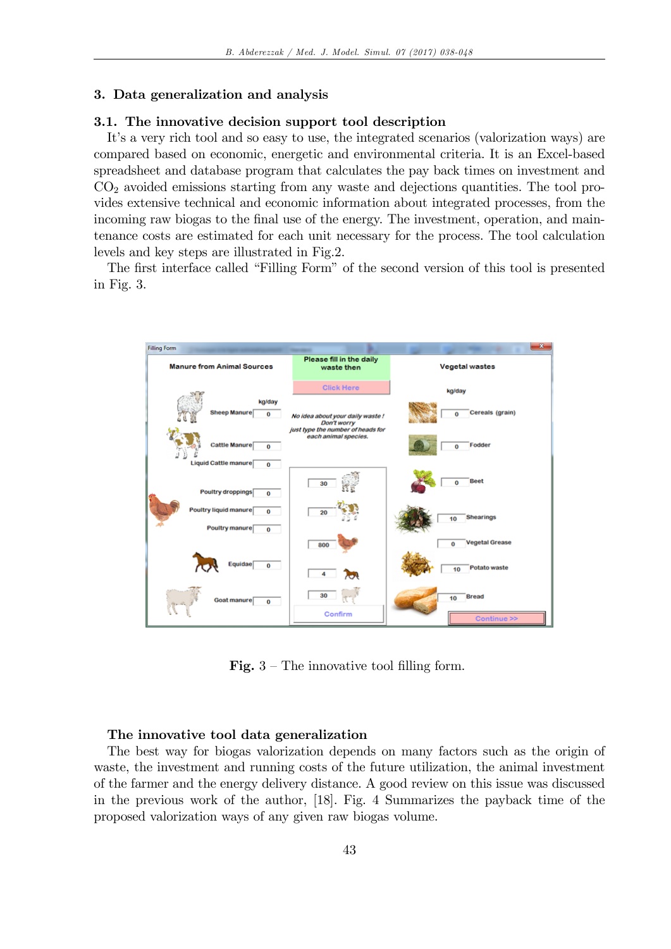#### 3. Data generalization and analysis

## 3.1. The innovative decision support tool description

It's a very rich tool and so easy to use, the integrated scenarios (valorization ways) are compared based on economic, energetic and environmental criteria. It is an Excel-based spreadsheet and database program that calculates the pay back times on investment and  $CO<sub>2</sub>$  avoided emissions starting from any waste and dejections quantities. The tool provides extensive technical and economic information about integrated processes, from the incoming raw biogas to the final use of the energy. The investment, operation, and maintenance costs are estimated for each unit necessary for the process. The tool calculation levels and key steps are illustrated in Fig.2.

The first interface called "Filling Form" of the second version of this tool is presented in Fig. 3.



**Fig.**  $3$  – The innovative tool filling form.

## The innovative tool data generalization

The best way for biogas valorization depends on many factors such as the origin of waste, the investment and running costs of the future utilization, the animal investment of the farmer and the energy delivery distance. A good review on this issue was discussed in the previous work of the author, [18]. Fig. 4 Summarizes the payback time of the proposed valorization ways of any given raw biogas volume.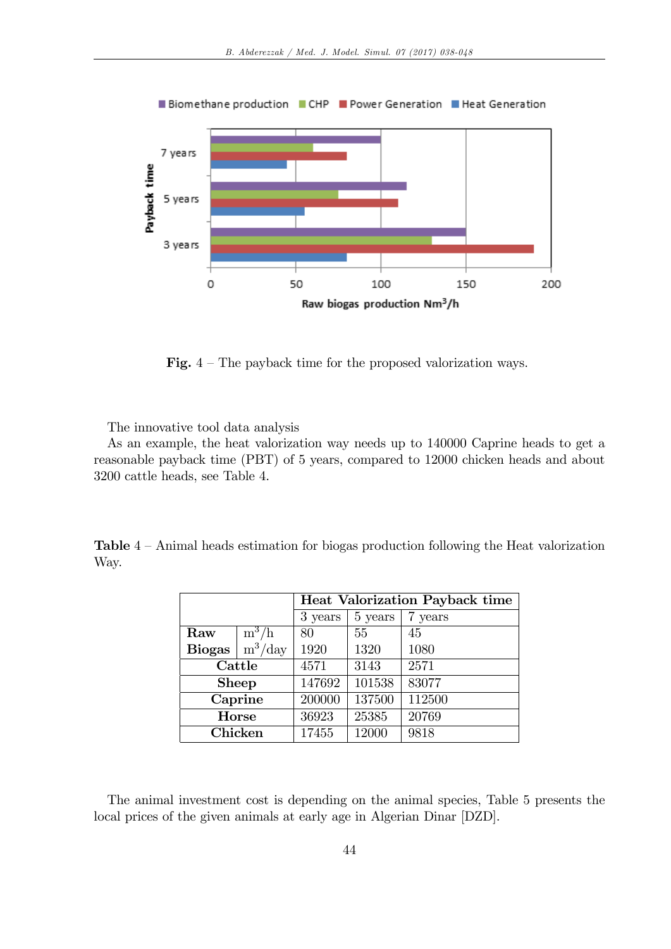

**Fig.**  $4$  – The payback time for the proposed valorization ways.

The innovative tool data analysis

As an example, the heat valorization way needs up to 140000 Caprine heads to get a reasonable payback time (PBT) of 5 years, compared to 12000 chicken heads and about 3200 cattle heads, see Table 4.

Table  $4 -$ Animal heads estimation for biogas production following the Heat valorization Way.

|               |           | <b>Heat Valorization Payback time</b> |         |         |  |
|---------------|-----------|---------------------------------------|---------|---------|--|
|               |           | 3 years                               | 5 years | 7 years |  |
| Raw           | $m^3/h$   | 80                                    | 55      | 45      |  |
| <b>Biogas</b> | $m^3/day$ | 1920                                  | 1320    | 1080    |  |
| Cattle        |           | 4571                                  | 3143    | 2571    |  |
| <b>Sheep</b>  |           | 147692                                | 101538  | 83077   |  |
| Caprine       |           | 200000                                | 137500  | 112500  |  |
| Horse         |           | 36923                                 | 25385   | 20769   |  |
| Chicken       |           | 17455                                 | 12000   | 9818    |  |

The animal investment cost is depending on the animal species, Table 5 presents the local prices of the given animals at early age in Algerian Dinar [DZD].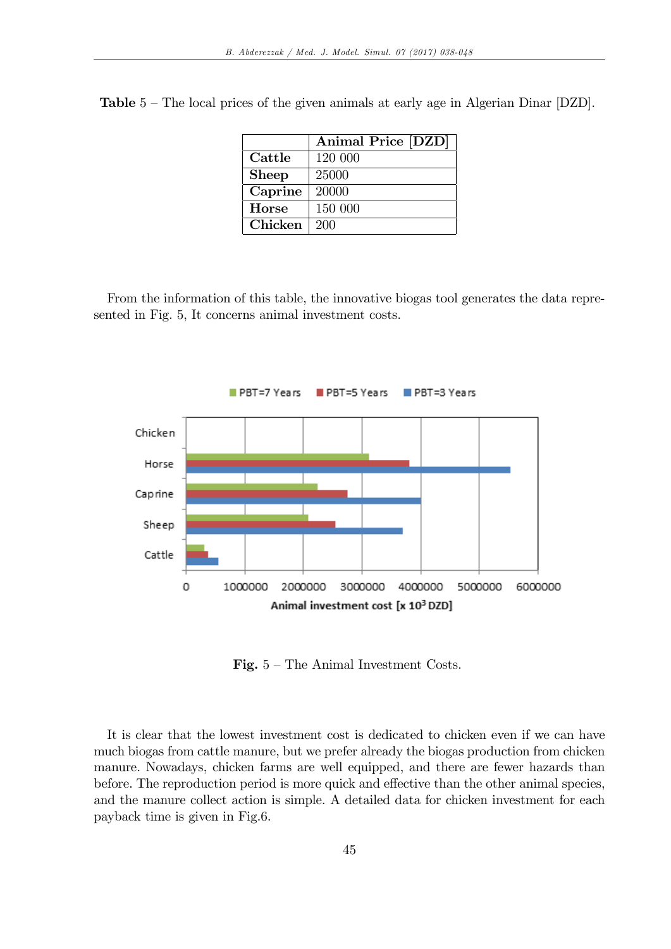|              | Animal Price [DZD] |
|--------------|--------------------|
| Cattle       | 120 000            |
| <b>Sheep</b> | 25000              |
| Caprine      | 20000              |
| <b>Horse</b> | 150 000            |
| Chicken      | 200                |

**Table**  $5$  – The local prices of the given animals at early age in Algerian Dinar [DZD].

From the information of this table, the innovative biogas tool generates the data represented in Fig. 5, It concerns animal investment costs.



Fig.  $5$  – The Animal Investment Costs.

It is clear that the lowest investment cost is dedicated to chicken even if we can have much biogas from cattle manure, but we prefer already the biogas production from chicken manure. Nowadays, chicken farms are well equipped, and there are fewer hazards than before. The reproduction period is more quick and effective than the other animal species, and the manure collect action is simple. A detailed data for chicken investment for each payback time is given in Fig.6.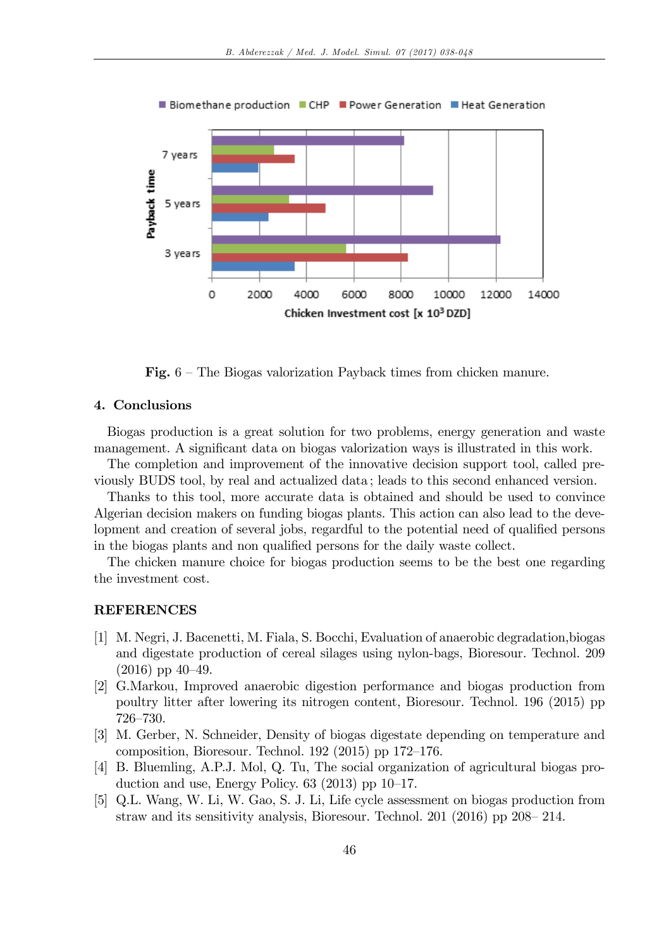

Fig.  $6$  – The Biogas valorization Payback times from chicken manure.

## 4. Conclusions

Biogas production is a great solution for two problems, energy generation and waste management. A significant data on biogas valorization ways is illustrated in this work.

The completion and improvement of the innovative decision support tool, called previously BUDS tool, by real and actualized data ; leads to this second enhanced version.

Thanks to this tool, more accurate data is obtained and should be used to convince Algerian decision makers on funding biogas plants. This action can also lead to the development and creation of several jobs, regardful to the potential need of qualified persons in the biogas plants and non qualified persons for the daily waste collect.

The chicken manure choice for biogas production seems to be the best one regarding the investment cost.

#### REFERENCES

- [1] M. Negri, J. Bacenetti, M. Fiala, S. Bocchi, Evaluation of anaerobic degradation,biogas and digestate production of cereal silages using nylon-bags, Bioresour. Technol. 209  $(2016)$  pp  $40-49$ .
- [2] G.Markou, Improved anaerobic digestion performance and biogas production from poultry litter after lowering its nitrogen content, Bioresour. Technol. 196 (2015) pp 726–730.
- [3] M. Gerber, N. Schneider, Density of biogas digestate depending on temperature and composition, Bioresour. Technol.  $192$  (2015) pp 172–176.
- [4] B. Bluemling, A.P.J. Mol, Q. Tu, The social organization of agricultural biogas production and use, Energy Policy.  $63$  (2013) pp 10–17.
- [5] Q.L. Wang, W. Li, W. Gao, S. J. Li, Life cycle assessment on biogas production from straw and its sensitivity analysis, Bioresour. Technol. 201 (2016) pp  $208 - 214$ .